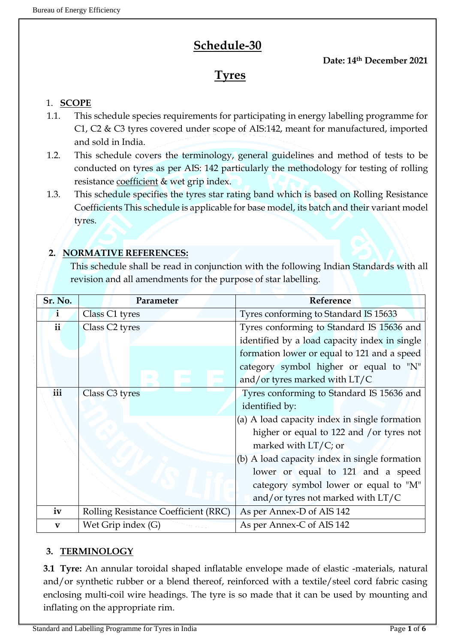# **Schedule-30**

# **Tyres**

## 1. **SCOPE**

- 1.1. This schedule species requirements for participating in energy labelling programme for C1, C2 & C3 tyres covered under scope of AIS:142, meant for manufactured, imported and sold in India.
- 1.2. This schedule covers the terminology, general guidelines and method of tests to be conducted on tyres as per AIS: 142 particularly the methodology for testing of rolling resistance coefficient & wet grip index.
- 1.3. This schedule specifies the tyres star rating band which is based on Rolling Resistance Coefficients This schedule is applicable for base model, its batch and their variant model tyres.

## **2. NORMATIVE REFERENCES:**

This schedule shall be read in conjunction with the following Indian Standards with all revision and all amendments for the purpose of star labelling.

| Sr. No.      | Parameter                            | Reference                                     |
|--------------|--------------------------------------|-----------------------------------------------|
| $\mathbf{i}$ | Class C1 tyres                       | Tyres conforming to Standard IS 15633         |
| ii.          | Class C <sub>2</sub> tyres           | Tyres conforming to Standard IS 15636 and     |
|              |                                      | identified by a load capacity index in single |
|              |                                      | formation lower or equal to 121 and a speed   |
|              |                                      | category symbol higher or equal to "N"        |
|              |                                      | and/or tyres marked with LT/C                 |
| iii          | Class C3 tyres                       | Tyres conforming to Standard IS 15636 and     |
|              |                                      | identified by:                                |
|              |                                      | (a) A load capacity index in single formation |
|              |                                      | higher or equal to 122 and /or tyres not      |
|              |                                      | marked with $LT/C$ ; or                       |
|              |                                      | (b) A load capacity index in single formation |
|              |                                      | lower or equal to 121 and a speed             |
|              |                                      | category symbol lower or equal to "M"         |
|              |                                      | and/or tyres not marked with LT/C             |
| iv           | Rolling Resistance Coefficient (RRC) | As per Annex-D of AIS 142                     |
| $\mathbf{v}$ | Wet Grip index (G)                   | As per Annex-C of AIS 142                     |

## **3. TERMINOLOGY**

**3.1 Tyre:** An annular toroidal shaped inflatable envelope made of elastic -materials, natural and/or synthetic rubber or a blend thereof, reinforced with a textile/steel cord fabric casing enclosing multi-coil wire headings. The tyre is so made that it can be used by mounting and inflating on the appropriate rim.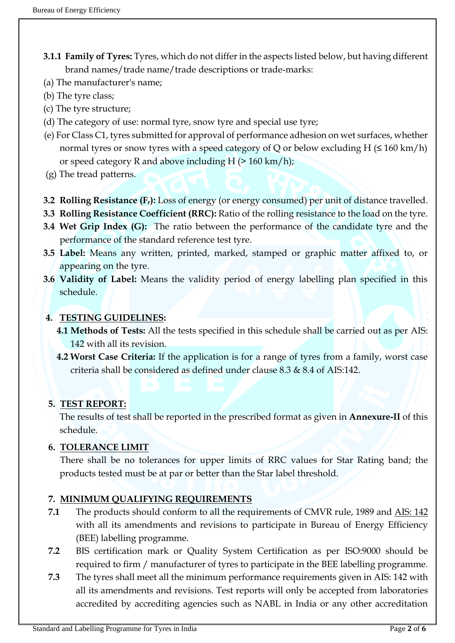- **3.1.1 Family of Tyres:** Tyres, which do not differ in the aspects listed below, but having different brand names/trade name/trade descriptions or trade-marks:
- (a) The manufacturer's name;
- (b) The tyre class;
- (c) The tyre structure;
- (d) The category of use: normal tyre, snow tyre and special use tyre;
- (e) For Class C1, tyres submitted for approval of performance adhesion on wet surfaces, whether normal tyres or snow tyres with a speed category of Q or below excluding H  $(\leq 160 \text{ km/h})$ or speed category R and above including  $H$  ( $> 160 \text{ km/h}$ );
- (g) The tread patterns.
- **3.2 Rolling Resistance (Fr):** Loss of energy (or energy consumed) per unit of distance travelled.
- **3.3 Rolling Resistance Coefficient (RRC):** Ratio of the rolling resistance to the load on the tyre.
- **3.4 Wet Grip Index (G):** The ratio between the performance of the candidate tyre and the performance of the standard reference test tyre.
- **3.5 Label:** Means any written, printed, marked, stamped or graphic matter affixed to, or appearing on the tyre.
- **3.6 Validity of Label:** Means the validity period of energy labelling plan specified in this schedule.

## **4. TESTING GUIDELINES:**

- **4.1 Methods of Tests:** All the tests specified in this schedule shall be carried out as per AIS: 142 with all its revision.
- **4.2 Worst Case Criteria:** If the application is for a range of tyres from a family, worst case criteria shall be considered as defined under clause 8.3 & 8.4 of AIS:142.

## **5. TEST REPORT:**

The results of test shall be reported in the prescribed format as given in **Annexure-II** of this schedule.

#### **6. TOLERANCE LIMIT**

There shall be no tolerances for upper limits of RRC values for Star Rating band; the products tested must be at par or better than the Star label threshold.

## **7. MINIMUM QUALIFYING REQUIREMENTS**

- **7.1** The products should conform to all the requirements of CMVR rule, 1989 and AIS: 142 with all its amendments and revisions to participate in Bureau of Energy Efficiency (BEE) labelling programme.
- **7.2** BIS certification mark or Quality System Certification as per ISO:9000 should be required to firm / manufacturer of tyres to participate in the BEE labelling programme.
- **7.3** The tyres shall meet all the minimum performance requirements given in AIS: 142 with all its amendments and revisions. Test reports will only be accepted from laboratories accredited by accrediting agencies such as NABL in India or any other accreditation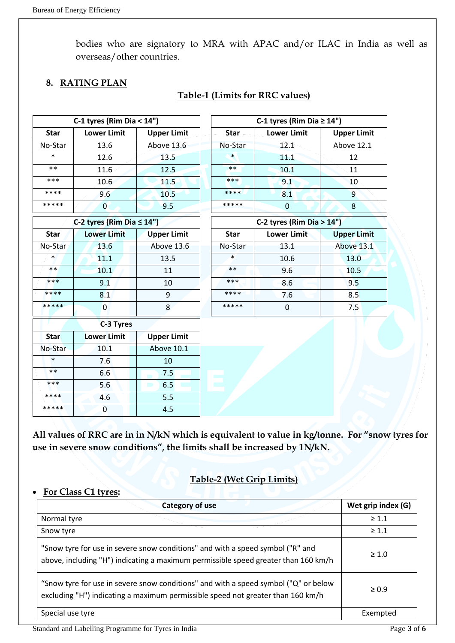bodies who are signatory to MRA with APAC and/or ILAC in India as well as overseas/other countries.

#### **8. RATING PLAN**

| C-1 tyres (Rim Dia $<$ 14") |                                 |                    | C-1 tyres (Rim Dia $\geq 14$ ") |                              |                    |  |
|-----------------------------|---------------------------------|--------------------|---------------------------------|------------------------------|--------------------|--|
| <b>Star</b>                 | <b>Lower Limit</b>              | <b>Upper Limit</b> | <b>Star</b>                     | <b>Lower Limit</b>           | <b>Upper Limit</b> |  |
| No-Star                     | 13.6                            | Above 13.6         | No-Star                         | 12.1                         | Above 12.1         |  |
| $\ast$                      | 12.6                            | 13.5               | $\ast$                          | 11.1                         | 12                 |  |
| $***$                       | 11.6                            | 12.5               | $**$                            | 10.1                         | 11                 |  |
| $***$                       | 10.6                            | 11.5               | $***$                           | 9.1                          | 10                 |  |
| ****                        | 9.6                             | 10.5               | ****                            | 8.1                          | 9                  |  |
| *****                       | $\bf{0}$                        | 9.5                | *****                           | 0                            | 8                  |  |
|                             | C-2 tyres (Rim Dia $\leq 14$ ") |                    |                                 | C-2 tyres (Rim Dia $> 14$ ") |                    |  |
| <b>Star</b>                 | <b>Lower Limit</b>              | <b>Upper Limit</b> | <b>Star</b>                     | <b>Lower Limit</b>           | <b>Upper Limit</b> |  |
| No-Star                     | 13.6                            | Above 13.6         | No-Star                         | 13.1                         | Above 13.1         |  |
| $\ast$                      | 11.1                            | 13.5               | $\ast$                          | 10.6                         | 13.0               |  |
| $**$                        | 10.1                            | 11                 | $***$                           | 9.6                          | 10.5               |  |
| $***$                       | 9.1                             | 10                 | ***                             | 8.6                          | 9.5                |  |
| ****                        | 8.1                             | 9                  | ****                            | 7.6                          | 8.5                |  |
| *****                       | $\overline{0}$                  | 8                  | *****                           | $\mathbf 0$                  | 7.5                |  |
|                             | C-3 Tyres                       |                    |                                 |                              |                    |  |
| <b>Star</b>                 | <b>Lower Limit</b>              | <b>Upper Limit</b> |                                 |                              |                    |  |
| No-Star                     | 10.1                            | Above 10.1         |                                 |                              |                    |  |
| $\ast$                      | 7.6                             | 10                 |                                 |                              |                    |  |
| $***$                       | 6.6                             | 7.5                |                                 |                              |                    |  |
| ***                         | 5.6                             | 6.5                |                                 |                              |                    |  |

### **Table-1 (Limits for RRC values)**

**All values of RRC are in in N/kN which is equivalent to value in kg/tonne. For "snow tyres for use in severe snow conditions", the limits shall be increased by 1N/kN.**

## **Table-2 (Wet Grip Limits)**

#### • **For Class C1 tyres:**

\*\*\*\* 4.6 5.5 \*\*\*\*\* 0 4.5

| Category of use                                                                                                                                                        | Wet grip index (G) |
|------------------------------------------------------------------------------------------------------------------------------------------------------------------------|--------------------|
| Normal tyre                                                                                                                                                            | $\geq 1.1$         |
| Snow tyre                                                                                                                                                              | $\geq 1.1$         |
| "Snow tyre for use in severe snow conditions" and with a speed symbol ("R" and<br>above, including "H") indicating a maximum permissible speed greater than 160 km/h   | $\geq 1.0$         |
| "Snow tyre for use in severe snow conditions" and with a speed symbol ("Q" or below<br>excluding "H") indicating a maximum permissible speed not greater than 160 km/h | > 0.9              |
| Special use tyre                                                                                                                                                       | Exempted           |

Standard and Labelling Programme for Tyres in India Page 3 of 6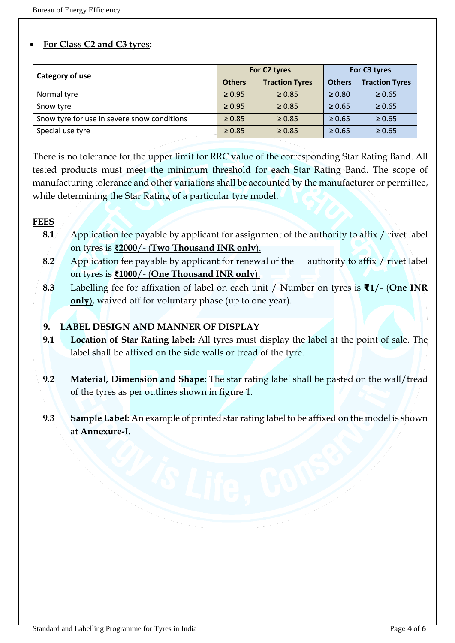#### • **For Class C2 and C3 tyres:**

| Category of use                             | For C2 tyres  |                       | For C3 tyres  |                       |
|---------------------------------------------|---------------|-----------------------|---------------|-----------------------|
|                                             | <b>Others</b> | <b>Traction Tyres</b> | <b>Others</b> | <b>Traction Tyres</b> |
| Normal tyre                                 | $\geq 0.95$   | $\geq 0.85$           | $\geq 0.80$   | $\geq 0.65$           |
| Snow tyre                                   | $\geq 0.95$   | $\geq 0.85$           | $\geq 0.65$   | $\geq 0.65$           |
| Snow tyre for use in severe snow conditions | $\geq 0.85$   | $\geq 0.85$           | $\geq 0.65$   | $\geq 0.65$           |
| Special use tyre                            | $\geq 0.85$   | $\geq 0.85$           | $\geq 0.65$   | $\geq 0.65$           |

There is no tolerance for the upper limit for RRC value of the corresponding Star Rating Band. All tested products must meet the minimum threshold for each Star Rating Band. The scope of manufacturing tolerance and other variations shall be accounted by the manufacturer or permittee, while determining the Star Rating of a particular tyre model.

#### **FEES**

- **8.1** Application fee payable by applicant for assignment of the authority to affix / rivet label on tyres is **₹2000**/- (**Two Thousand INR only**).
- **8.2** Application fee payable by applicant for renewal of the authority to affix / rivet label on tyres is **₹1000**/- (**One Thousand INR only**).
- **8.3** Labelling fee for affixation of label on each unit / Number on tyres is **₹1**/- (**One INR only**), waived off for voluntary phase (up to one year).

#### **9. LABEL DESIGN AND MANNER OF DISPLAY**

- **9.1 Location of Star Rating label:** All tyres must display the label at the point of sale. The label shall be affixed on the side walls or tread of the tyre.
- **9.2 Material, Dimension and Shape:** The star rating label shall be pasted on the wall/tread of the tyres as per outlines shown in figure 1.
- **9.3 Sample Label:** An example of printed star rating label to be affixed on the model is shown at **Annexure-I**.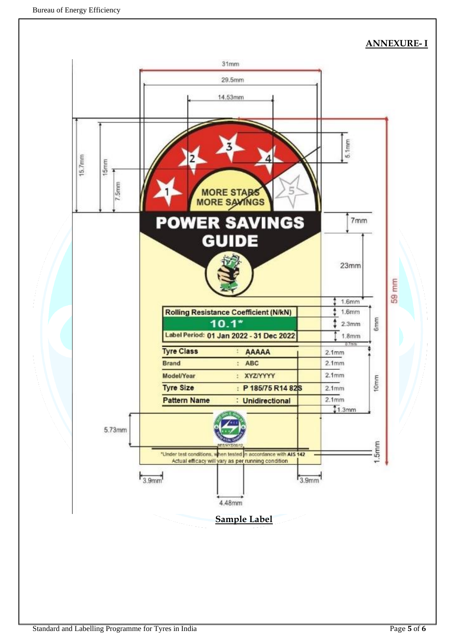#### **ANNEXURE- I**